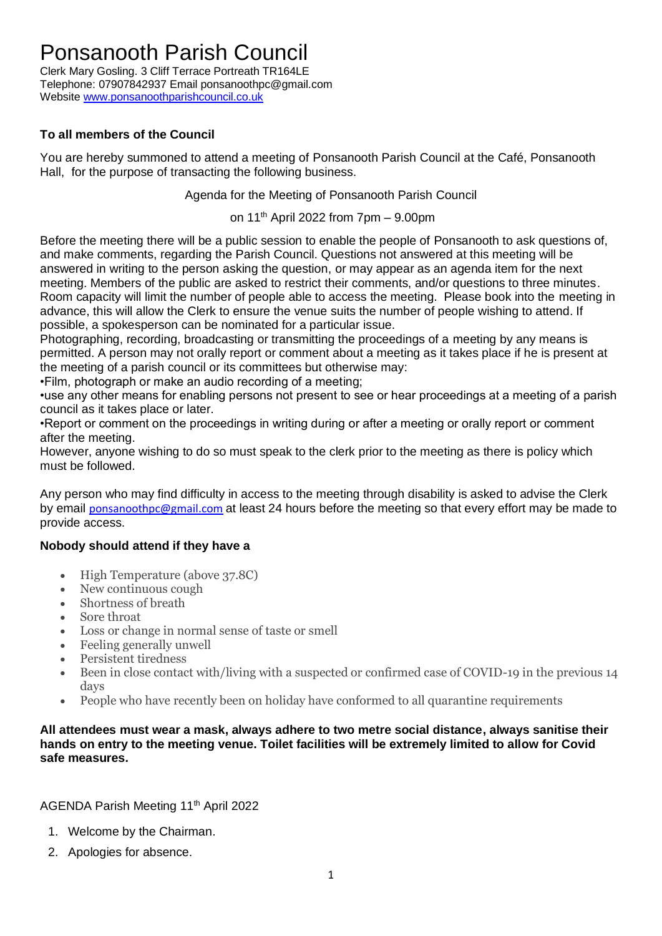## Ponsanooth Parish Council

Clerk Mary Gosling. 3 Cliff Terrace Portreath TR164LE Telephone: 07907842937 Email ponsanoothpc@gmail.com Website [www.ponsanoothparishcouncil.co.uk](http://www.ponsanoothparishcouncil.co.uk/)

### **To all members of the Council**

You are hereby summoned to attend a meeting of Ponsanooth Parish Council at the Café, Ponsanooth Hall, for the purpose of transacting the following business.

Agenda for the Meeting of Ponsanooth Parish Council

on 11<sup>th</sup> April 2022 from 7pm - 9.00pm

Before the meeting there will be a public session to enable the people of Ponsanooth to ask questions of, and make comments, regarding the Parish Council. Questions not answered at this meeting will be answered in writing to the person asking the question, or may appear as an agenda item for the next meeting. Members of the public are asked to restrict their comments, and/or questions to three minutes. Room capacity will limit the number of people able to access the meeting. Please book into the meeting in advance, this will allow the Clerk to ensure the venue suits the number of people wishing to attend. If possible, a spokesperson can be nominated for a particular issue.

Photographing, recording, broadcasting or transmitting the proceedings of a meeting by any means is permitted. A person may not orally report or comment about a meeting as it takes place if he is present at the meeting of a parish council or its committees but otherwise may:

•Film, photograph or make an audio recording of a meeting;

•use any other means for enabling persons not present to see or hear proceedings at a meeting of a parish council as it takes place or later.

•Report or comment on the proceedings in writing during or after a meeting or orally report or comment after the meeting.

However, anyone wishing to do so must speak to the clerk prior to the meeting as there is policy which must be followed.

Any person who may find difficulty in access to the meeting through disability is asked to advise the Clerk by email [ponsanoothpc@gmail.com](mailto:ponsanoothpc@gmail.com) at least 24 hours before the meeting so that every effort may be made to provide access.

### **Nobody should attend if they have a**

- High Temperature (above 37.8C)
- New continuous cough
- Shortness of breath
- Sore throat
- Loss or change in normal sense of taste or smell
- Feeling generally unwell
- Persistent tiredness
- Been in close contact with/living with a suspected or confirmed case of COVID-19 in the previous 14 days
- People who have recently been on holiday have conformed to all quarantine requirements

#### **All attendees must wear a mask, always adhere to two metre social distance, always sanitise their hands on entry to the meeting venue. Toilet facilities will be extremely limited to allow for Covid safe measures.**

AGENDA Parish Meeting 11<sup>th</sup> April 2022

- 1. Welcome by the Chairman.
- 2. Apologies for absence.